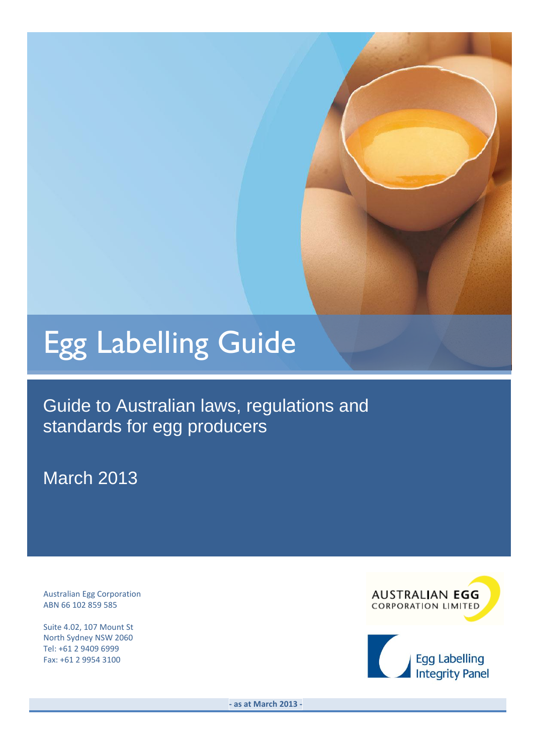# Egg Labelling Guide

Guide to Australian laws, regulations and standards for egg producers

March 2013

Australian Egg Corporation ABN 66 102 859 585

Suite 4.02, 107 Mount St North Sydney NSW 2060 Tel: +61 2 9409 6999 Fax: +61 2 9954 3100



**- as at March 2013 -**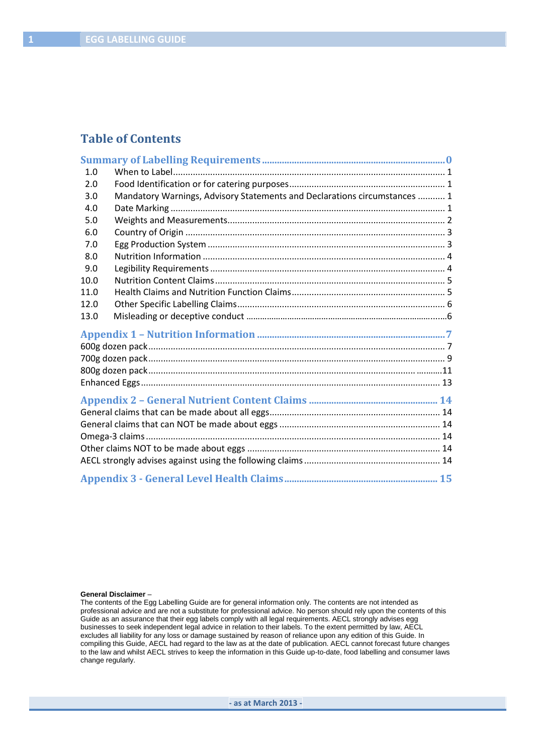## **Table of Contents**

| 1.0  |                                                                           |  |
|------|---------------------------------------------------------------------------|--|
| 2.0  |                                                                           |  |
| 3.0  | Mandatory Warnings, Advisory Statements and Declarations circumstances  1 |  |
| 4.0  |                                                                           |  |
| 5.0  |                                                                           |  |
| 6.0  |                                                                           |  |
| 7.0  |                                                                           |  |
| 8.0  |                                                                           |  |
| 9.0  |                                                                           |  |
| 10.0 |                                                                           |  |
| 11.0 |                                                                           |  |
| 12.0 |                                                                           |  |
| 13.0 |                                                                           |  |
|      |                                                                           |  |
|      |                                                                           |  |
|      |                                                                           |  |
|      |                                                                           |  |
|      |                                                                           |  |
|      |                                                                           |  |
|      |                                                                           |  |
|      |                                                                           |  |
|      |                                                                           |  |
|      |                                                                           |  |
|      |                                                                           |  |
|      |                                                                           |  |

#### **General Disclaimer** –

The contents of the Egg Labelling Guide are for general information only. The contents are not intended as professional advice and are not a substitute for professional advice. No person should rely upon the contents of this Guide as an assurance that their egg labels comply with all legal requirements. AECL strongly advises egg businesses to seek independent legal advice in relation to their labels. To the extent permitted by law, AECL excludes all liability for any loss or damage sustained by reason of reliance upon any edition of this Guide. In compiling this Guide, AECL had regard to the law as at the date of publication. AECL cannot forecast future changes to the law and whilst AECL strives to keep the information in this Guide up-to-date, food labelling and consumer laws change regularly.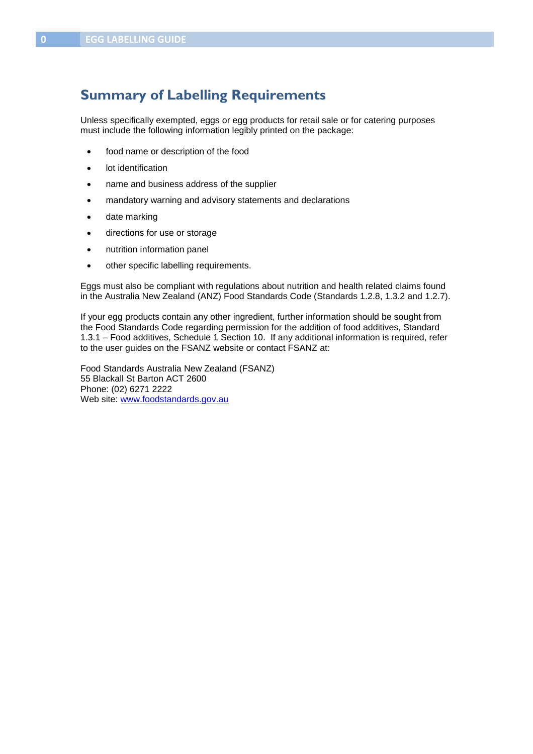## **Summary of Labelling Requirements**

Unless specifically exempted, eggs or egg products for retail sale or for catering purposes must include the following information legibly printed on the package:

- food name or description of the food
- lot identification
- name and business address of the supplier
- mandatory warning and advisory statements and declarations
- date marking
- directions for use or storage
- nutrition information panel
- other specific labelling requirements.

Eggs must also be compliant with regulations about nutrition and health related claims found in the Australia New Zealand (ANZ) Food Standards Code (Standards 1.2.8, 1.3.2 and 1.2.7).

If your egg products contain any other ingredient, further information should be sought from the Food Standards Code regarding permission for the addition of food additives, Standard 1.3.1 – Food additives, Schedule 1 Section 10. If any additional information is required, refer to the user guides on the FSANZ website or contact FSANZ at:

Food Standards Australia New Zealand (FSANZ) 55 Blackall St Barton ACT 2600 Phone: (02) 6271 2222 Web site: [www.foodstandards.gov.au](http://www.foodstandards.gov.au/foodstandardscode)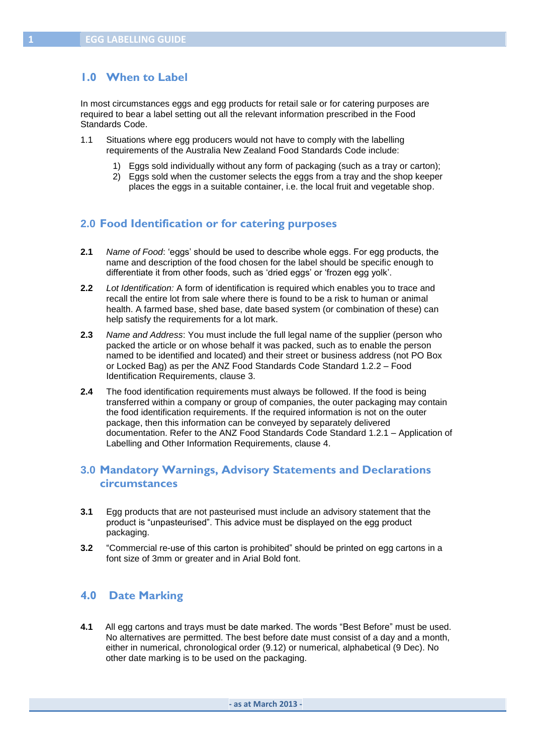## **1.0 When to Label**

In most circumstances eggs and egg products for retail sale or for catering purposes are required to bear a label setting out all the relevant information prescribed in the Food Standards Code.

- 1.1 Situations where egg producers would not have to comply with the labelling requirements of the Australia New Zealand Food Standards Code include:
	- 1) Eggs sold individually without any form of packaging (such as a tray or carton);
	- 2) Eggs sold when the customer selects the eggs from a tray and the shop keeper places the eggs in a suitable container, i.e. the local fruit and vegetable shop.

#### **2.0 Food Identification or for catering purposes**

- **2.1** *Name of Food*: "eggs" should be used to describe whole eggs. For egg products, the name and description of the food chosen for the label should be specific enough to differentiate it from other foods, such as 'dried eggs' or 'frozen egg yolk'.
- **2.2** *Lot Identification:* A form of identification is required which enables you to trace and recall the entire lot from sale where there is found to be a risk to human or animal health. A farmed base, shed base, date based system (or combination of these) can help satisfy the requirements for a lot mark.
- **2.3** *Name and Address*: You must include the full legal name of the supplier (person who packed the article or on whose behalf it was packed, such as to enable the person named to be identified and located) and their street or business address (not PO Box or Locked Bag) as per the ANZ Food Standards Code Standard 1.2.2 – Food Identification Requirements, clause 3.
- **2.4** The food identification requirements must always be followed. If the food is being transferred within a company or group of companies, the outer packaging may contain the food identification requirements. If the required information is not on the outer package, then this information can be conveyed by separately delivered documentation. Refer to the ANZ Food Standards Code Standard 1.2.1 – Application of Labelling and Other Information Requirements, clause 4.

## **3.0 Mandatory Warnings, Advisory Statements and Declarations circumstances**

- **3.1** Egg products that are not pasteurised must include an advisory statement that the product is "unpasteurised". This advice must be displayed on the egg product packaging.
- **3.2** "Commercial re-use of this carton is prohibited" should be printed on egg cartons in a font size of 3mm or greater and in Arial Bold font.

## **4.0 Date Marking**

**4.1** All egg cartons and trays must be date marked. The words "Best Before" must be used. No alternatives are permitted. The best before date must consist of a day and a month, either in numerical, chronological order (9.12) or numerical, alphabetical (9 Dec). No other date marking is to be used on the packaging.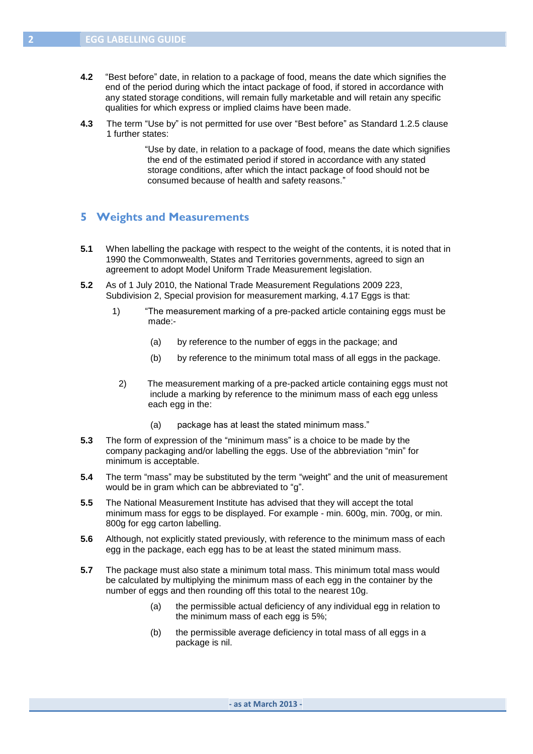- **4.2** "Best before" date, in relation to a package of food, means the date which signifies the end of the period during which the intact package of food, if stored in accordance with any stated storage conditions, will remain fully marketable and will retain any specific qualities for which express or implied claims have been made.
- **4.3** The term "Use by" is not permitted for use over "Best before" as Standard 1.2.5 clause 1 further states:

"Use by date, in relation to a package of food, means the date which signifies the end of the estimated period if stored in accordance with any stated storage conditions, after which the intact package of food should not be consumed because of health and safety reasons."

#### **5 Weights and Measurements**

- **5.1** When labelling the package with respect to the weight of the contents, it is noted that in 1990 the Commonwealth, States and Territories governments, agreed to sign an agreement to adopt Model Uniform Trade Measurement legislation.
- **5.2** As of 1 July 2010, the National Trade Measurement Regulations 2009 223, Subdivision 2, Special provision for measurement marking, 4.17 Eggs is that:
	- 1) "The measurement marking of a pre-packed article containing eggs must be made:-
		- (a) by reference to the number of eggs in the package; and
		- (b) by reference to the minimum total mass of all eggs in the package.
		- 2) The measurement marking of a pre-packed article containing eggs must not include a marking by reference to the minimum mass of each egg unless each egg in the:
			- (a) package has at least the stated minimum mass."
- **5.3** The form of expression of the "minimum mass" is a choice to be made by the company packaging and/or labelling the eggs. Use of the abbreviation "min" for minimum is acceptable.
- **5.4** The term "mass" may be substituted by the term "weight" and the unit of measurement would be in gram which can be abbreviated to "g".
- **5.5** The National Measurement Institute has advised that they will accept the total minimum mass for eggs to be displayed. For example - min. 600g, min. 700g, or min. 800g for egg carton labelling.
- **5.6** Although, not explicitly stated previously, with reference to the minimum mass of each egg in the package, each egg has to be at least the stated minimum mass.
- **5.7** The package must also state a minimum total mass. This minimum total mass would be calculated by multiplying the minimum mass of each egg in the container by the number of eggs and then rounding off this total to the nearest 10g.
	- (a) the permissible actual deficiency of any individual egg in relation to the minimum mass of each egg is 5%;
	- (b) the permissible average deficiency in total mass of all eggs in a package is nil.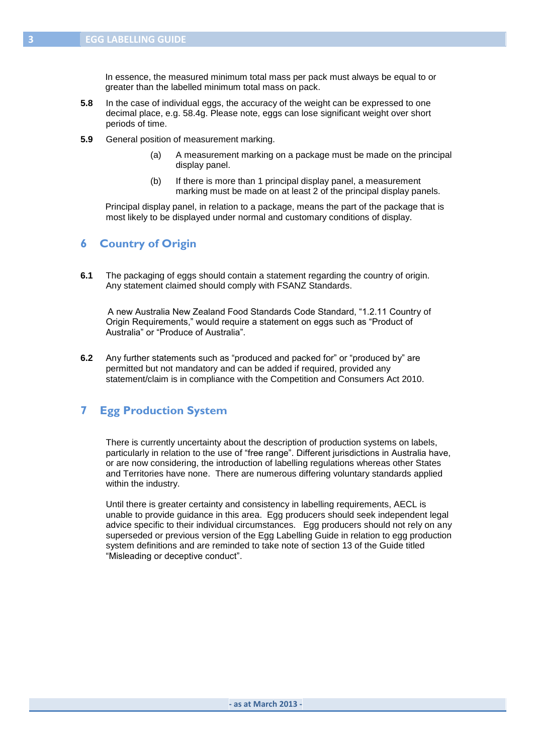In essence, the measured minimum total mass per pack must always be equal to or greater than the labelled minimum total mass on pack.

- **5.8** In the case of individual eggs, the accuracy of the weight can be expressed to one decimal place, e.g. 58.4g. Please note, eggs can lose significant weight over short periods of time.
- **5.9** General position of measurement marking.
	- (a) A measurement marking on a package must be made on the principal display panel.
	- (b) If there is more than 1 principal display panel, a measurement marking must be made on at least 2 of the principal display panels.

 Principal display panel, in relation to a package, means the part of the package that is most likely to be displayed under normal and customary conditions of display.

## **6 Country of Origin**

**6.1** The packaging of eggs should contain a statement regarding the country of origin. Any statement claimed should comply with FSANZ Standards.

 A new Australia New Zealand Food Standards Code Standard, "1.2.11 Country of Origin Requirements," would require a statement on eggs such as "Product of Australia" or "Produce of Australia".

**6.2** Any further statements such as "produced and packed for" or "produced by" are permitted but not mandatory and can be added if required, provided any statement/claim is in compliance with the Competition and Consumers Act 2010.

## **7 Egg Production System**

There is currently uncertainty about the description of production systems on labels, particularly in relation to the use of "free range". Different jurisdictions in Australia have, or are now considering, the introduction of labelling regulations whereas other States and Territories have none. There are numerous differing voluntary standards applied within the industry.

Until there is greater certainty and consistency in labelling requirements, AECL is unable to provide guidance in this area. Egg producers should seek independent legal advice specific to their individual circumstances. Egg producers should not rely on any superseded or previous version of the Egg Labelling Guide in relation to egg production system definitions and are reminded to take note of section 13 of the Guide titled "Misleading or deceptive conduct".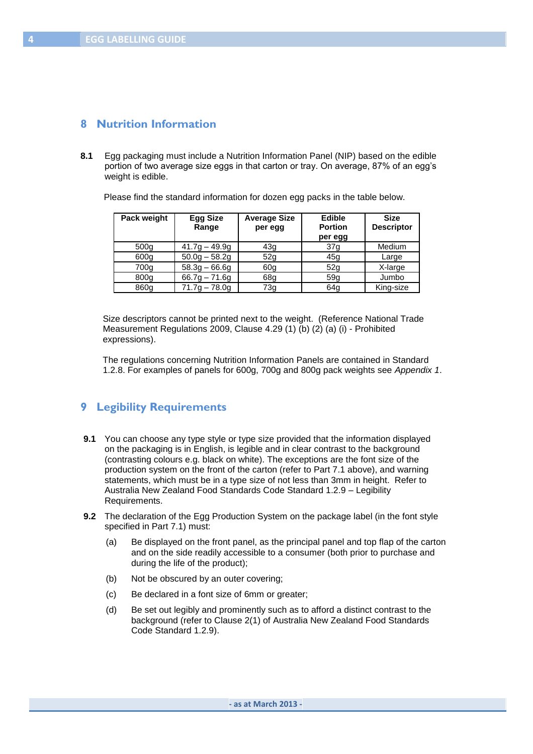## **8 Nutrition Information**

**8.1** Egg packaging must include a Nutrition Information Panel (NIP) based on the edible portion of two average size eggs in that carton or tray. On average, 87% of an egg"s weight is edible.

Please find the standard information for dozen egg packs in the table below.

| Pack weight      | <b>Egg Size</b> | <b>Average Size</b> | <b>Edible</b>   | <b>Size</b>       |
|------------------|-----------------|---------------------|-----------------|-------------------|
|                  | Range           | per egg             | <b>Portion</b>  | <b>Descriptor</b> |
|                  |                 |                     | per egg         |                   |
| 500 <sub>g</sub> | $41.7g - 49.9g$ | 43q                 | 37 <sub>g</sub> | Medium            |
| 600g             | $50.0g - 58.2g$ | 52g                 | 45g             | Large             |
| 700g             | $58.3g - 66.6g$ | 60 <sub>q</sub>     | 52g             | X-large           |
| 800g             | $66.7g - 71.6g$ | 68g                 | 59q             | Jumbo             |
| 860g             | $71.7q - 78.0q$ | 73g                 | 64g             | King-size         |

 Size descriptors cannot be printed next to the weight. (Reference National Trade Measurement Regulations 2009, Clause 4.29 (1) (b) (2) (a) (i) - Prohibited expressions).

 The regulations concerning Nutrition Information Panels are contained in Standard 1.2.8. For examples of panels for 600g, 700g and 800g pack weights see *Appendix 1*.

## **9 Legibility Requirements**

- **9.1** You can choose any type style or type size provided that the information displayed on the packaging is in English, is legible and in clear contrast to the background (contrasting colours e.g. black on white). The exceptions are the font size of the production system on the front of the carton (refer to Part 7.1 above), and warning statements, which must be in a type size of not less than 3mm in height. Refer to Australia New Zealand Food Standards Code Standard 1.2.9 – Legibility Requirements.
- **9.2** The declaration of the Egg Production System on the package label (in the font style specified in Part 7.1) must:
	- (a) Be displayed on the front panel, as the principal panel and top flap of the carton and on the side readily accessible to a consumer (both prior to purchase and during the life of the product);
	- (b) Not be obscured by an outer covering;
	- (c) Be declared in a font size of 6mm or greater;
	- (d) Be set out legibly and prominently such as to afford a distinct contrast to the background (refer to Clause 2(1) of Australia New Zealand Food Standards Code Standard 1.2.9).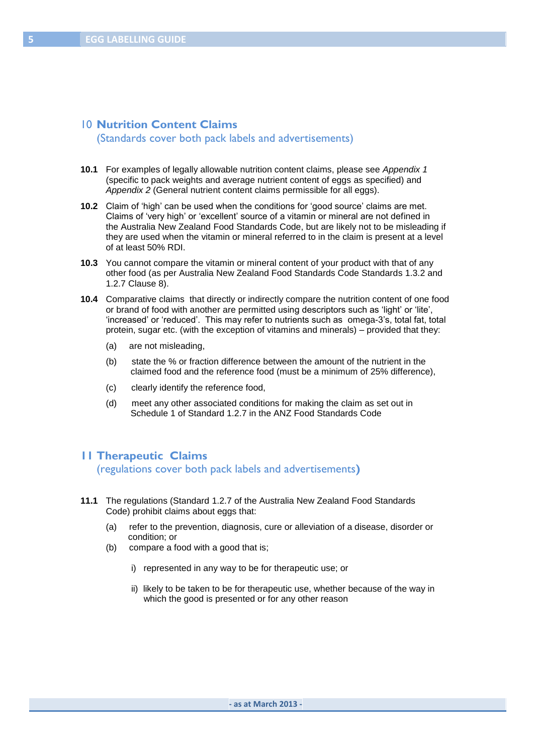## 10 **Nutrition Content Claims**

(Standards cover both pack labels and advertisements)

- **10.1** For examples of legally allowable nutrition content claims, please see *Appendix 1* (specific to pack weights and average nutrient content of eggs as specified) and *Appendix 2* (General nutrient content claims permissible for all eggs).
- **10.2** Claim of "high" can be used when the conditions for "good source" claims are met. Claims of "very high" or "excellent" source of a vitamin or mineral are not defined in the Australia New Zealand Food Standards Code, but are likely not to be misleading if they are used when the vitamin or mineral referred to in the claim is present at a level of at least 50% RDI.
- **10.3** You cannot compare the vitamin or mineral content of your product with that of any other food (as per Australia New Zealand Food Standards Code Standards 1.3.2 and 1.2.7 Clause 8).
- **10.4** Comparative claims that directly or indirectly compare the nutrition content of one food or brand of food with another are permitted using descriptors such as "light" or "lite", "increased" or "reduced". This may refer to nutrients such as omega-3"s, total fat, total protein, sugar etc. (with the exception of vitamins and minerals) – provided that they:
	- (a) are not misleading,
	- (b) state the % or fraction difference between the amount of the nutrient in the claimed food and the reference food (must be a minimum of 25% difference),
	- (c) clearly identify the reference food,
	- (d) meet any other associated conditions for making the claim as set out in Schedule 1 of Standard 1.2.7 in the ANZ Food Standards Code

## **11 Therapeutic Claims**

(regulations cover both pack labels and advertisements**)**

- **11.1** The regulations (Standard 1.2.7 of the Australia New Zealand Food Standards Code) prohibit claims about eggs that:
	- (a) refer to the prevention, diagnosis, cure or alleviation of a disease, disorder or condition; or
	- (b) compare a food with a good that is;
		- i) represented in any way to be for therapeutic use; or
		- ii) likely to be taken to be for therapeutic use, whether because of the way in which the good is presented or for any other reason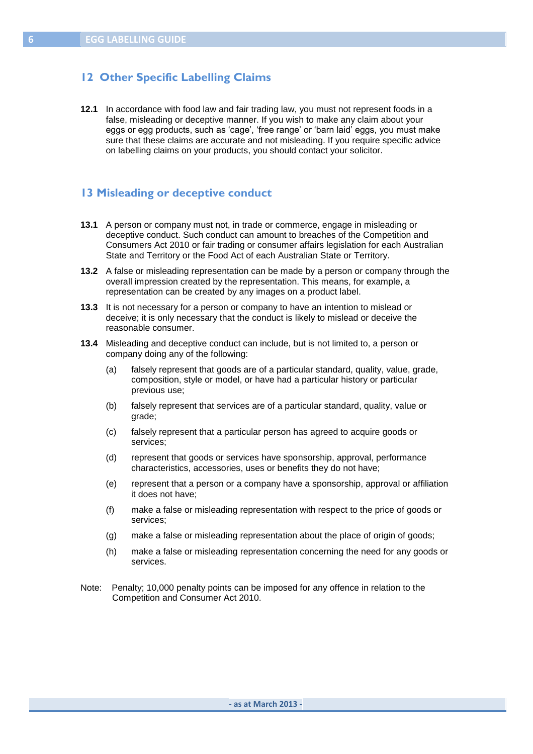## **12 Other Specific Labelling Claims**

**12.1** In accordance with food law and fair trading law, you must not represent foods in a false, misleading or deceptive manner. If you wish to make any claim about your eggs or egg products, such as 'cage', 'free range' or 'barn laid' eggs, you must make sure that these claims are accurate and not misleading. If you require specific advice on labelling claims on your products, you should contact your solicitor.

#### **13 Misleading or deceptive conduct**

- **13.1** A person or company must not, in trade or commerce, engage in misleading or deceptive conduct. Such conduct can amount to breaches of the Competition and Consumers Act 2010 or fair trading or consumer affairs legislation for each Australian State and Territory or the Food Act of each Australian State or Territory.
- **13.2** A false or misleading representation can be made by a person or company through the overall impression created by the representation. This means, for example, a representation can be created by any images on a product label.
- **13.3** It is not necessary for a person or company to have an intention to mislead or deceive; it is only necessary that the conduct is likely to mislead or deceive the reasonable consumer.
- **13.4** Misleading and deceptive conduct can include, but is not limited to, a person or company doing any of the following:
	- (a) falsely represent that goods are of a particular standard, quality, value, grade, composition, style or model, or have had a particular history or particular previous use;
	- (b) falsely represent that services are of a particular standard, quality, value or grade;
	- (c) falsely represent that a particular person has agreed to acquire goods or services;
	- (d) represent that goods or services have sponsorship, approval, performance characteristics, accessories, uses or benefits they do not have;
	- (e) represent that a person or a company have a sponsorship, approval or affiliation it does not have;
	- (f) make a false or misleading representation with respect to the price of goods or services;
	- (g) make a false or misleading representation about the place of origin of goods;
	- (h) make a false or misleading representation concerning the need for any goods or services.
- Note: Penalty; 10,000 penalty points can be imposed for any offence in relation to the Competition and Consumer Act 2010.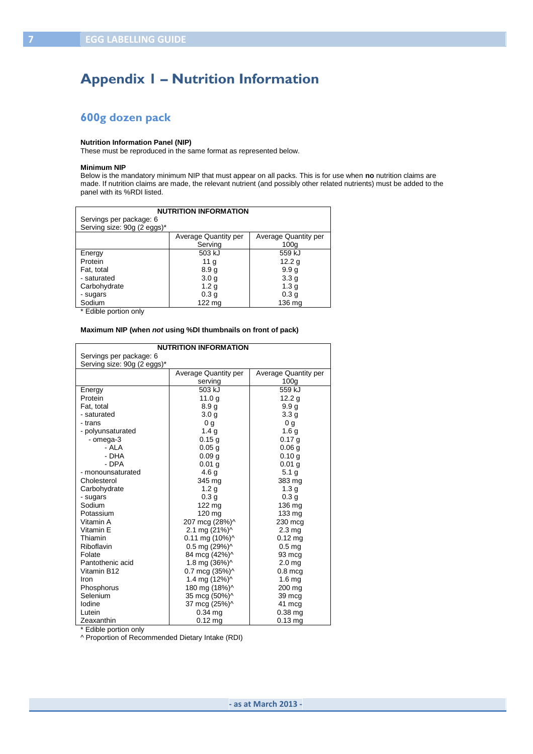# **Appendix 1 – Nutrition Information**

## **600g dozen pack**

#### **Nutrition Information Panel (NIP)**

These must be reproduced in the same format as represented below.

#### **Minimum NIP**

Below is the mandatory minimum NIP that must appear on all packs. This is for use when **no** nutrition claims are made. If nutrition claims are made, the relevant nutrient (and possibly other related nutrients) must be added to the panel with its %RDI listed.

| <b>NUTRITION INFORMATION</b> |                      |                      |  |  |  |
|------------------------------|----------------------|----------------------|--|--|--|
| Servings per package: 6      |                      |                      |  |  |  |
| Serving size: 90g (2 eggs)*  |                      |                      |  |  |  |
|                              | Average Quantity per | Average Quantity per |  |  |  |
|                              | Serving              | 100 <sub>q</sub>     |  |  |  |
| Energy                       | 503 kJ               | 559 kJ               |  |  |  |
| Protein                      | 11 $g$               | 12.2 $g$             |  |  |  |
| Fat, total                   | 8.9 <sub>g</sub>     | 9.9 <sub>g</sub>     |  |  |  |
| - saturated                  | 3.0 <sub>g</sub>     | 3.3 <sub>g</sub>     |  |  |  |
| Carbohydrate                 | 1.2 <sub>g</sub>     | 1.3 <sub>g</sub>     |  |  |  |
| - sugars                     | 0.3 <sub>g</sub>     | 0.3 <sub>g</sub>     |  |  |  |
| Sodium                       | 122 mg               | 136 ma               |  |  |  |

\* Edible portion only

#### **Maximum NIP (when** *not* **using %DI thumbnails on front of pack)**

| <b>NUTRITION INFORMATION</b> |                           |                             |  |  |
|------------------------------|---------------------------|-----------------------------|--|--|
| Servings per package: 6      |                           |                             |  |  |
| Serving size: 90g (2 eggs)*  |                           |                             |  |  |
|                              | Average Quantity per      | <b>Average Quantity per</b> |  |  |
|                              | serving                   | 100 <sub>g</sub>            |  |  |
| Energy                       | 503 kJ                    | 559 kJ                      |  |  |
| Protein                      | 11.0q                     | 12.2 <sub>q</sub>           |  |  |
| Fat, total                   | 8.9 <sub>g</sub>          | 9.9 <sub>g</sub>            |  |  |
| - saturated                  | 3.0 <sub>q</sub>          | 3.3 <sub>g</sub>            |  |  |
| - trans                      | 0 <sub>q</sub>            | 0 <sub>q</sub>              |  |  |
| - polyunsaturated            | 1.4 <sub>q</sub>          | 1.6 <sub>g</sub>            |  |  |
| - omega-3                    | 0.15g                     | 0.17 g                      |  |  |
| - ALA                        | 0.05 <sub>g</sub>         | 0.06 <sub>g</sub>           |  |  |
| - DHA                        | 0.09 <sub>q</sub>         | 0.10 g                      |  |  |
| - DPA                        | 0.01 <sub>q</sub>         | 0.01 <sub>q</sub>           |  |  |
| - monounsaturated            | 4.6 g                     | 5.1 <sub>g</sub>            |  |  |
| Cholesterol                  | 345 mg                    | 383 mg                      |  |  |
| Carbohydrate                 | 1.2 <sub>g</sub>          | 1.3 <sub>g</sub>            |  |  |
| - sugars                     | 0.3 <sub>g</sub>          | 0.3 <sub>g</sub>            |  |  |
| Sodium                       | $122 \text{ mg}$          | 136 mg                      |  |  |
| Potassium                    | 120 mg                    | 133 mg                      |  |  |
| Vitamin A                    | 207 mcg (28%)^            | 230 mcg                     |  |  |
| Vitamin E                    | 2.1 mg (21%)^             | 2.3 <sub>mg</sub>           |  |  |
| Thiamin                      | $0.11$ mg $(10\%)$        | $0.12$ mg                   |  |  |
| Riboflavin                   | $0.5$ mg $(29%)^{\wedge}$ | 0.5 <sub>mg</sub>           |  |  |
| Folate                       | 84 mcg (42%)^             | 93 mcg                      |  |  |
| Pantothenic acid             | 1.8 mg (36%)^             | 2.0 <sub>mg</sub>           |  |  |
| Vitamin B12                  | 0.7 mcg (35%)^            | $0.8$ mcg                   |  |  |
| Iron                         | 1.4 mg (12%)^             | 1.6 <sub>mg</sub>           |  |  |
| Phosphorus                   | 180 mg (18%)^             | 200 mg                      |  |  |
| Selenium                     | 35 mcg (50%)^             | 39 mcg                      |  |  |
| lodine                       | 37 mcg (25%)^             | 41 mcg                      |  |  |
| Lutein                       | $0.34$ ma                 | $0.38$ ma                   |  |  |
| Zeaxanthin                   | $0.12$ mg                 | $0.13$ ma                   |  |  |

\* Edible portion only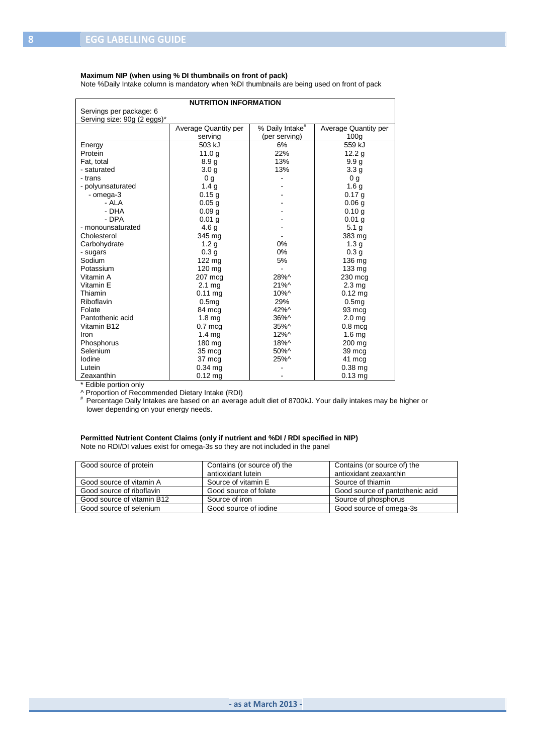#### **Maximum NIP (when using % DI thumbnails on front of pack)**

Note %Daily Intake column is mandatory when %DI thumbnails are being used on front of pack

| <b>NUTRITION INFORMATION</b> |                      |                             |                      |  |
|------------------------------|----------------------|-----------------------------|----------------------|--|
| Servings per package: 6      |                      |                             |                      |  |
| Serving size: 90g (2 eggs)*  |                      |                             |                      |  |
|                              | Average Quantity per | % Daily Intake <sup>#</sup> | Average Quantity per |  |
|                              | serving              | (per serving)               | 100 <sub>q</sub>     |  |
| Energy                       | 503 kJ               | 6%                          | 559 kJ               |  |
| Protein                      | 11.0q                | 22%                         | 12.2 <sub>q</sub>    |  |
| Fat. total                   | 8.9 <sub>g</sub>     | 13%                         | 9.9 <sub>g</sub>     |  |
| - saturated                  | 3.0 <sub>g</sub>     | 13%                         | 3.3 <sub>g</sub>     |  |
| - trans                      | 0 <sub>g</sub>       |                             | 0 <sub>g</sub>       |  |
| - polyunsaturated            | 1.4 <sub>g</sub>     |                             | 1.6 <sub>g</sub>     |  |
| - omega-3                    | 0.15g                |                             | 0.17 g               |  |
| - ALA                        | 0.05 <sub>g</sub>    |                             | 0.06 <sub>q</sub>    |  |
| - DHA                        | 0.09 <sub>g</sub>    |                             | 0.10 g               |  |
| - DPA                        | 0.01 <sub>q</sub>    |                             | 0.01 <sub>q</sub>    |  |
| - monounsaturated            | 4.6 <sub>g</sub>     |                             | 5.1 <sub>g</sub>     |  |
| Cholesterol                  | 345 mg               |                             | 383 mg               |  |
| Carbohydrate                 | 1.2 <sub>g</sub>     | 0%                          | 1.3 <sub>g</sub>     |  |
| - sugars                     | 0.3 <sub>g</sub>     | 0%                          | 0.3 <sub>g</sub>     |  |
| Sodium                       | 122 mg               | 5%                          | 136 mg               |  |
| Potassium                    | 120 mg               |                             | 133 mg               |  |
| Vitamin A                    | 207 mcg              | 28%^                        | 230 mcg              |  |
| Vitamin E                    | 2.1 <sub>mg</sub>    | $21\%$                      | 2.3 <sub>mg</sub>    |  |
| Thiamin                      | $0.11$ mg            | $10\%$ ^                    | $0.12$ mg            |  |
| Riboflavin                   | 0.5mg                | 29%                         | 0.5 <sub>mq</sub>    |  |
| Folate                       | 84 mcg               | 42%^                        | 93 mcg               |  |
| Pantothenic acid             | 1.8 <sub>mq</sub>    | $36\%^{\wedge}$             | 2.0 <sub>mg</sub>    |  |
| Vitamin B12                  | $0.7$ mcg            | 35%^                        | $0.8$ mcg            |  |
| Iron                         | 1.4 <sub>mg</sub>    | 12%^                        | 1.6 <sub>mg</sub>    |  |
| Phosphorus                   | 180 mg               | 18%^                        | 200 mg               |  |
| Selenium                     | 35 mcg               | $50\%$ ^                    | 39 mcg               |  |
| lodine                       | 37 mcg               | 25%^                        | 41 mcg               |  |
| Lutein                       | 0.34 mg              |                             | 0.38 mg              |  |
| Zeaxanthin                   | $0.12$ ma            |                             | $0.13$ mg            |  |

\* Edible portion only

^ Proportion of Recommended Dietary Intake (RDI) # Percentage Daily Intakes are based on an average adult diet of 8700kJ. Your daily intakes may be higher or lower depending on your energy needs.

#### **Permitted Nutrient Content Claims (only if nutrient and %DI / RDI specified in NIP)**

Note no RDI/DI values exist for omega-3s so they are not included in the panel

| Good source of protein     | Contains (or source of) the | Contains (or source of) the     |
|----------------------------|-----------------------------|---------------------------------|
|                            | antioxidant lutein          | antioxidant zeaxanthin          |
| Good source of vitamin A   | Source of vitamin E         | Source of thiamin               |
| Good source of riboflavin  | Good source of folate       | Good source of pantothenic acid |
| Good source of vitamin B12 | Source of iron              | Source of phosphorus            |
| Good source of selenium    | Good source of jodine       | Good source of omega-3s         |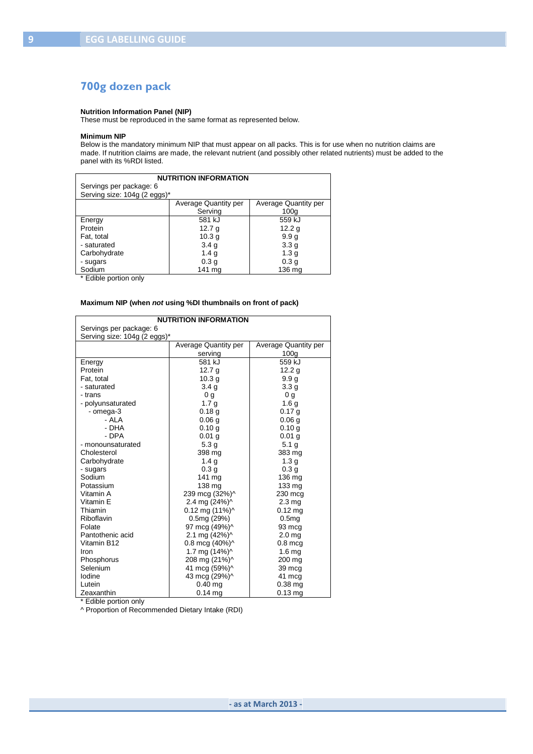# **700g dozen pack**

#### **Nutrition Information Panel (NIP)**

These must be reproduced in the same format as represented below.

#### **Minimum NIP**

Below is the mandatory minimum NIP that must appear on all packs. This is for use when no nutrition claims are made. If nutrition claims are made, the relevant nutrient (and possibly other related nutrients) must be added to the panel with its %RDI listed.

| <b>NUTRITION INFORMATION</b>                        |                              |                             |  |  |  |
|-----------------------------------------------------|------------------------------|-----------------------------|--|--|--|
| Servings per package: 6                             |                              |                             |  |  |  |
|                                                     | Serving size: 104g (2 eggs)* |                             |  |  |  |
|                                                     | Average Quantity per         | <b>Average Quantity per</b> |  |  |  |
|                                                     | Serving                      | 100 <sub>q</sub>            |  |  |  |
| Energy                                              | 581 kJ                       | 559 kJ                      |  |  |  |
| Protein<br>12.2 $g$<br>12.7 $g$                     |                              |                             |  |  |  |
| Fat, total                                          | 10.3 <sub>g</sub>            | 9.9 <sub>g</sub>            |  |  |  |
| - saturated<br>3.4 <sub>g</sub><br>3.3 <sub>q</sub> |                              |                             |  |  |  |
| Carbohydrate                                        | 1.4 g                        | 1.3 <sub>g</sub>            |  |  |  |
| 0.3 <sub>q</sub><br>0.3 <sub>g</sub><br>- sugars    |                              |                             |  |  |  |
| Sodium<br>141 ma<br>136 ma                          |                              |                             |  |  |  |

\* Edible portion only

#### **Maximum NIP (when** *not* **using %DI thumbnails on front of pack)**

| <b>NUTRITION INFORMATION</b> |                                                |                      |  |  |
|------------------------------|------------------------------------------------|----------------------|--|--|
| Servings per package: 6      |                                                |                      |  |  |
| Serving size: 104g (2 eggs)* |                                                |                      |  |  |
|                              | Average Quantity per                           | Average Quantity per |  |  |
|                              | serving                                        | 100 <sub>g</sub>     |  |  |
| Energy                       | 581 kJ                                         | 559 kJ               |  |  |
| Protein                      | 12.7 $g$                                       | 12.2 $g$             |  |  |
| Fat. total                   | 10.3 <sub>g</sub>                              | 9.9 <sub>g</sub>     |  |  |
| - saturated                  | 3.4 <sub>q</sub>                               | 3.3 g                |  |  |
| - trans                      | 0 g                                            | 0 <sub>q</sub>       |  |  |
| - polyunsaturated            | 1.7 <sub>g</sub>                               | 1.6 <sub>g</sub>     |  |  |
| - omega-3                    | 0.18 <sub>g</sub>                              | 0.17 <sub>g</sub>    |  |  |
| - ALA                        | 0.06 <sub>g</sub>                              | 0.06 <sub>q</sub>    |  |  |
| - DHA                        | 0.10 q                                         | 0.10q                |  |  |
| - DPA                        | $0.01$ g                                       | 0.01 <sub>g</sub>    |  |  |
| - monounsaturated            | 5.3 <sub>g</sub>                               | 5.1 <sub>g</sub>     |  |  |
| Cholesterol                  | 398 mg                                         | 383 mg               |  |  |
| Carbohydrate                 | 1.4 <sub>q</sub>                               | 1.3 <sub>g</sub>     |  |  |
| - sugars                     | 0.3 <sub>g</sub>                               | 0.3 <sub>g</sub>     |  |  |
| Sodium                       | 141 mg                                         | 136 mg               |  |  |
| Potassium                    | 138 mg                                         | 133 mg               |  |  |
| Vitamin A                    | 239 mcg (32%)^                                 | 230 mcg              |  |  |
| Vitamin E                    | 2.4 mg (24%)^                                  | 2.3 <sub>mg</sub>    |  |  |
| Thiamin                      | $0.12$ mg $(11%)^{\wedge}$                     | $0.12$ ma            |  |  |
| Riboflavin                   | 0.5mg(29%)                                     | 0.5 <sub>mg</sub>    |  |  |
| Folate                       | 97 mcg (49%)^                                  | 93 mcg               |  |  |
| Pantothenic acid             | 2.1 mg (42%)^                                  | 2.0 <sub>mg</sub>    |  |  |
| Vitamin B12                  | 0.8 mcg $(40\%)$ <sup><math>\land</math></sup> | $0.8$ mcg            |  |  |
| Iron                         | 1.7 mg (14%)^                                  | 1.6 <sub>mq</sub>    |  |  |
| Phosphorus                   | 208 mg (21%)^                                  | 200 ma               |  |  |
| Selenium                     | 41 mcg (59%)^                                  | 39 mcg               |  |  |
| lodine                       | 43 mcg (29%)^                                  | 41 mcg               |  |  |
| Lutein                       | $0.40$ ma                                      | $0.38$ ma            |  |  |
| Zeaxanthin                   | $0.14$ ma                                      | $0.13$ ma            |  |  |

\* Edible portion only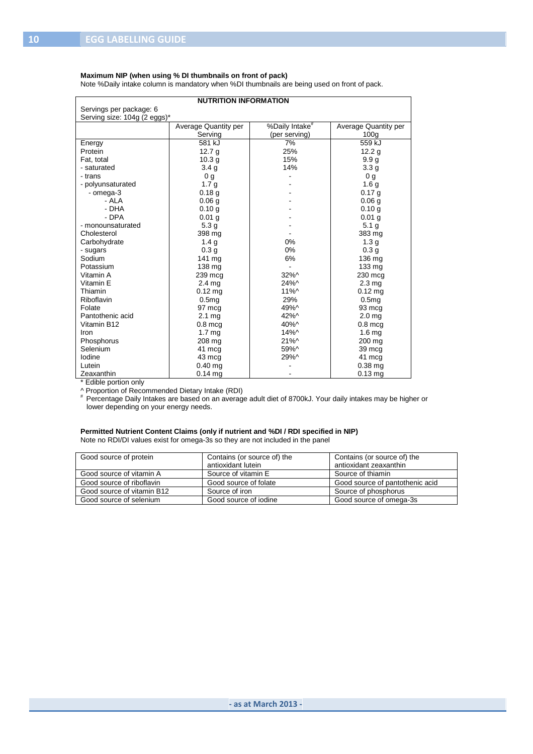#### **Maximum NIP (when using % DI thumbnails on front of pack)**

Note %Daily intake column is mandatory when %DI thumbnails are being used on front of pack.

| <b>NUTRITION INFORMATION</b> |                      |                            |                      |  |  |
|------------------------------|----------------------|----------------------------|----------------------|--|--|
| Servings per package: 6      |                      |                            |                      |  |  |
| Serving size: 104g (2 eggs)* |                      |                            |                      |  |  |
|                              | Average Quantity per | %Daily Intake <sup>#</sup> | Average Quantity per |  |  |
|                              | Serving              | (per serving)              | 100 <sub>q</sub>     |  |  |
| Energy                       | 581 kJ               | 7%                         | 559 kJ               |  |  |
| Protein                      | 12.7 <sub>g</sub>    | 25%                        | 12.2 <sub>g</sub>    |  |  |
| Fat. total                   | 10.3 <sub>q</sub>    | 15%                        | 9.9 <sub>q</sub>     |  |  |
| - saturated                  | 3.4 <sub>g</sub>     | 14%                        | 3.3 <sub>g</sub>     |  |  |
| - trans                      | 0 <sub>q</sub>       |                            | 0 <sub>g</sub>       |  |  |
| - polyunsaturated            | 1.7 <sub>g</sub>     |                            | 1.6 <sub>g</sub>     |  |  |
| - omega-3                    | 0.18 <sub>q</sub>    |                            | 0.17 <sub>q</sub>    |  |  |
| - ALA                        | 0.06 <sub>q</sub>    |                            | 0.06 <sub>q</sub>    |  |  |
| - DHA                        | 0.10q                |                            | 0.10q                |  |  |
| - DPA                        | 0.01 <sub>q</sub>    |                            | 0.01 <sub>q</sub>    |  |  |
| - monounsaturated            | 5.3 <sub>g</sub>     |                            | 5.1 <sub>g</sub>     |  |  |
| Cholesterol                  | 398 mg               |                            | 383 mg               |  |  |
| Carbohydrate                 | 1.4 <sub>g</sub>     | 0%                         | 1.3 <sub>g</sub>     |  |  |
| - sugars                     | 0.3 <sub>q</sub>     | 0%                         | 0.3 <sub>g</sub>     |  |  |
| Sodium                       | 141 mg               | 6%                         | 136 mg               |  |  |
| Potassium                    | 138 mg               |                            | 133 mg               |  |  |
| Vitamin A                    | 239 mcg              | 32%^                       | 230 mcg              |  |  |
| Vitamin E                    | 2.4 <sub>mg</sub>    | 24%^                       | 2.3 <sub>mg</sub>    |  |  |
| Thiamin                      | $0.12$ ma            | $11\%$                     | $0.12$ ma            |  |  |
| Riboflavin                   | 0.5mg                | 29%                        | 0.5 <sub>mq</sub>    |  |  |
| Folate                       | 97 mcg               | 49%^                       | 93 mcg               |  |  |
| Pantothenic acid             | $2.1 \text{ mg}$     | 42%^                       | 2.0 <sub>mg</sub>    |  |  |
| Vitamin B12                  | $0.8$ mcg            | $40\%$ ^                   | $0.8$ mcg            |  |  |
| Iron                         | 1.7 <sub>mg</sub>    | $14\%^{\circ}$             | 1.6 <sub>mg</sub>    |  |  |
| Phosphorus                   | 208 mg               | $21\%$                     | 200 mg               |  |  |
| Selenium                     | 41 mcg               | 59%^                       | 39 mcg               |  |  |
| lodine                       | 43 mcg               | 29%^                       | 41 mcg               |  |  |
| Lutein                       | $0.40$ mg            |                            | $0.38$ mg            |  |  |
| Zeaxanthin                   | $0.14$ ma            |                            | $0.13$ mg            |  |  |

\* Edible portion only

^ Proportion of Recommended Dietary Intake (RDI) # Percentage Daily Intakes are based on an average adult diet of 8700kJ. Your daily intakes may be higher or lower depending on your energy needs.

#### **Permitted Nutrient Content Claims (only if nutrient and %DI / RDI specified in NIP)** Note no RDI/DI values exist for omega-3s so they are not included in the panel

| Contains (or source of) the | Contains (or source of) the<br>antioxidant zeaxanthin                                |
|-----------------------------|--------------------------------------------------------------------------------------|
|                             | Source of thiamin                                                                    |
|                             | Good source of pantothenic acid                                                      |
|                             | Source of phosphorus                                                                 |
| Good source of jodine       | Good source of omega-3s                                                              |
|                             | antioxidant lutein<br>Source of vitamin E<br>Good source of folate<br>Source of iron |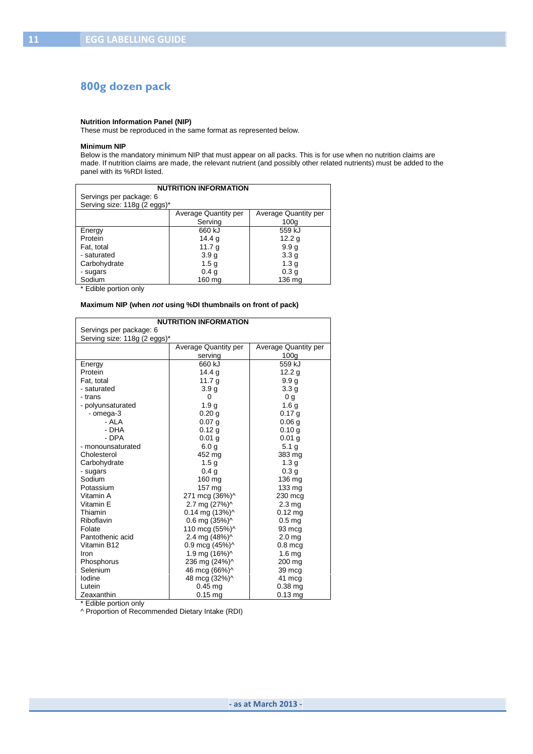## **800g dozen pack**

#### **Nutrition Information Panel (NIP)**

These must be reproduced in the same format as represented below.

#### **Minimum NIP**

Below is the mandatory minimum NIP that must appear on all packs. This is for use when no nutrition claims are made. If nutrition claims are made, the relevant nutrient (and possibly other related nutrients) must be added to the panel with its %RDI listed.

| <b>NUTRITION INFORMATION</b> |                      |                             |  |  |  |
|------------------------------|----------------------|-----------------------------|--|--|--|
| Servings per package: 6      |                      |                             |  |  |  |
| Serving size: 118g (2 eggs)* |                      |                             |  |  |  |
|                              | Average Quantity per | <b>Average Quantity per</b> |  |  |  |
|                              | Serving              | 100 <sub>q</sub>            |  |  |  |
| Energy                       | 660 kJ               | 559 kJ                      |  |  |  |
| Protein                      | 14.4 $q$             | 12.2 $g$                    |  |  |  |
| Fat, total                   | 11.7 $g$             | 9.9 <sub>g</sub>            |  |  |  |
| - saturated                  | 3.9 <sub>g</sub>     | 3.3 <sub>g</sub>            |  |  |  |
| Carbohydrate                 | 1.5 <sub>g</sub>     | 1.3 <sub>g</sub>            |  |  |  |
| - sugars                     | 0.4 <sub>g</sub>     | 0.3 <sub>q</sub>            |  |  |  |
| Sodium                       | 160 mg               | 136 ma                      |  |  |  |

\* Edible portion only

#### **Maximum NIP (when** *not* **using %DI thumbnails on front of pack)**

| <b>NUTRITION INFORMATION</b> |                            |                      |  |  |  |
|------------------------------|----------------------------|----------------------|--|--|--|
| Servings per package: 6      |                            |                      |  |  |  |
| Serving size: 118g (2 eggs)* |                            |                      |  |  |  |
|                              | Average Quantity per       | Average Quantity per |  |  |  |
|                              | serving                    | 100 <sub>g</sub>     |  |  |  |
| Energy                       | 660 kJ                     | 559 kJ               |  |  |  |
| Protein                      | 14.4 <sub>q</sub>          | 12.2 <sub>q</sub>    |  |  |  |
| Fat, total                   | 11.7 $g$                   | 9.9 <sub>g</sub>     |  |  |  |
| - saturated                  | 3.9 <sub>g</sub>           | 3.3 <sub>q</sub>     |  |  |  |
| - trans                      | $\Omega$                   | 0 <sub>g</sub>       |  |  |  |
| - polyunsaturated            | 1.9 <sub>g</sub>           | 1.6 <sub>g</sub>     |  |  |  |
| - omega-3                    | 0.20 g                     | 0.17 g               |  |  |  |
| - AI A                       | $0.07$ g                   | 0.06 <sub>g</sub>    |  |  |  |
| - DHA                        | 0.12 g                     | 0.10 q               |  |  |  |
| - DPA                        | 0.01 <sub>q</sub>          | 0.01 <sub>q</sub>    |  |  |  |
| - monounsaturated            | 6.0 <sub>g</sub>           | 5.1 <sub>g</sub>     |  |  |  |
| Cholesterol                  | 452 mg                     | 383 mg               |  |  |  |
| Carbohydrate                 | 1.5 <sub>g</sub>           | 1.3 <sub>g</sub>     |  |  |  |
| - sugars                     | 0.4 <sub>g</sub>           | 0.3 <sub>g</sub>     |  |  |  |
| Sodium                       | 160 mg                     | 136 mg               |  |  |  |
| Potassium                    | 157 mg                     | 133 mg               |  |  |  |
| Vitamin A                    | 271 mcg (36%)^             | 230 mcg              |  |  |  |
| Vitamin E                    | 2.7 mg (27%)^              | 2.3 <sub>mg</sub>    |  |  |  |
| Thiamin                      | $0.14$ mg $(13%)^{\wedge}$ | $0.12$ ma            |  |  |  |
| Riboflavin                   | $0.6$ mg $(35%)^{\wedge}$  | 0.5 <sub>mg</sub>    |  |  |  |
| Folate                       | 110 mcg (55%)^             | 93 mcg               |  |  |  |
| Pantothenic acid             | 2.4 mg (48%)^              | 2.0 <sub>mg</sub>    |  |  |  |
| Vitamin B12                  | 0.9 mcg $(45%)^{\wedge}$   | $0.8$ mca            |  |  |  |
| Iron                         | 1.9 mg (16%)^              | 1.6 <sub>mq</sub>    |  |  |  |
| Phosphorus                   | 236 mg (24%)^              | 200 mg               |  |  |  |
| Selenium                     | 46 mcg (66%)^              | 39 mcg               |  |  |  |
| lodine                       | 48 mcg (32%)^              | 41 mcg               |  |  |  |
| Lutein                       | $0.45$ ma                  | $0.38$ mg            |  |  |  |
| Zeaxanthin                   | $0.15$ ma                  | $0.13$ mg            |  |  |  |

\* Edible portion only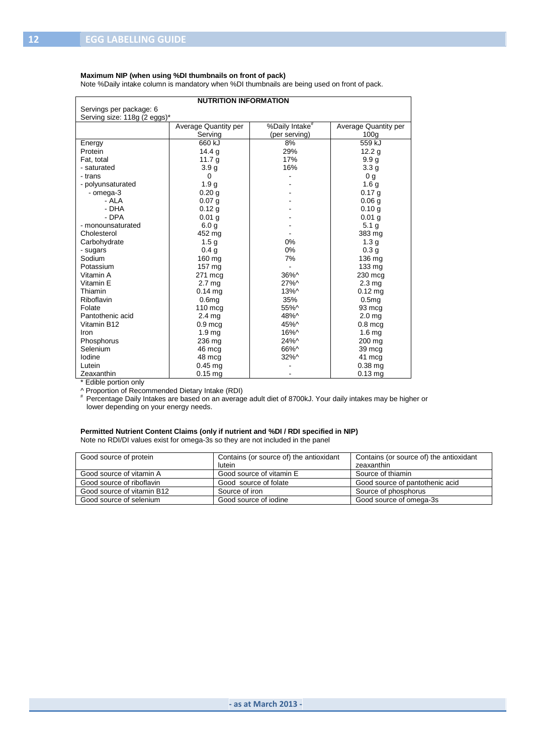#### **Maximum NIP (when using %DI thumbnails on front of pack)**

Note %Daily intake column is mandatory when %DI thumbnails are being used on front of pack.

| <b>NUTRITION INFORMATION</b> |                      |                            |                      |  |
|------------------------------|----------------------|----------------------------|----------------------|--|
| Servings per package: 6      |                      |                            |                      |  |
| Serving size: 118g (2 eggs)* |                      |                            |                      |  |
|                              | Average Quantity per | %Daily Intake <sup>#</sup> | Average Quantity per |  |
|                              | Serving              | (per serving)              | 100 <sub>q</sub>     |  |
| Energy                       | 660 kJ               | 8%                         | 559 kJ               |  |
| Protein                      | 14.4 g               | 29%                        | 12.2 <sub>q</sub>    |  |
| Fat. total                   | 11.7 $q$             | 17%                        | 9.9 <sub>q</sub>     |  |
| - saturated                  | 3.9 <sub>g</sub>     | 16%                        | 3.3 <sub>g</sub>     |  |
| - trans                      | $\Omega$             |                            | 0 <sub>q</sub>       |  |
| - polyunsaturated            | 1.9 <sub>g</sub>     |                            | 1.6 <sub>g</sub>     |  |
| - omega-3                    | 0.20 <sub>q</sub>    |                            | 0.17 <sub>q</sub>    |  |
| - ALA                        | 0.07 <sub>q</sub>    |                            | 0.06 <sub>q</sub>    |  |
| - DHA                        | 0.12q                |                            | 0.10q                |  |
| - DPA                        | $0.01$ g             |                            | 0.01 <sub>q</sub>    |  |
| - monounsaturated            | 6.0 <sub>g</sub>     |                            | 5.1 <sub>g</sub>     |  |
| Cholesterol                  | 452 mg               |                            | 383 mg               |  |
| Carbohydrate                 | 1.5 <sub>g</sub>     | 0%                         | 1.3 <sub>g</sub>     |  |
| - sugars                     | 0.4 <sub>g</sub>     | 0%                         | 0.3 <sub>g</sub>     |  |
| Sodium                       | 160 mg               | 7%                         | 136 mg               |  |
| Potassium                    | 157 mg               |                            | 133 mg               |  |
| Vitamin A                    | 271 mcg              | 36%^                       | 230 mcg              |  |
| Vitamin E                    | 2.7 <sub>mg</sub>    | 27%^                       | 2.3 <sub>mg</sub>    |  |
| Thiamin                      | $0.14$ ma            | 13%^                       | $0.12$ ma            |  |
| Riboflavin                   | 0.6 <sub>mg</sub>    | 35%                        | 0.5 <sub>mq</sub>    |  |
| Folate                       | 110 mcg              | 55%^                       | 93 mcg               |  |
| Pantothenic acid             | $2.4 \text{ mg}$     | 48%^                       | 2.0 <sub>mg</sub>    |  |
| Vitamin B12                  | $0.9$ mcg            | 45%^                       | $0.8$ mcg            |  |
| Iron                         | 1.9 <sub>mg</sub>    | 16%^                       | 1.6 <sub>mg</sub>    |  |
| Phosphorus                   | 236 mg               | 24%^                       | 200 mg               |  |
| Selenium                     | 46 mcg               | 66%^                       | 39 mcg               |  |
| lodine                       | 48 mcg               | 32%^                       | 41 mcg               |  |
| Lutein                       | $0.45$ mg            |                            | $0.38$ mg            |  |
| Zeaxanthin                   | $0.15$ mg            |                            | $0.13$ mg            |  |

\* Edible portion only

^ Proportion of Recommended Dietary Intake (RDI) # Percentage Daily Intakes are based on an average adult diet of 8700kJ. Your daily intakes may be higher or lower depending on your energy needs.

#### **Permitted Nutrient Content Claims (only if nutrient and %DI / RDI specified in NIP)** Note no RDI/DI values exist for omega-3s so they are not included in the panel

| Good source of protein     | Contains (or source of) the antioxidant | Contains (or source of) the antioxidant |
|----------------------------|-----------------------------------------|-----------------------------------------|
|                            | lutein                                  | zeaxanthin                              |
| Good source of vitamin A   | Good source of vitamin E                | Source of thiamin                       |
| Good source of riboflavin  | Good source of folate                   | Good source of pantothenic acid         |
| Good source of vitamin B12 | Source of iron                          | Source of phosphorus                    |
| Good source of selenium    | Good source of jodine                   | Good source of omega-3s                 |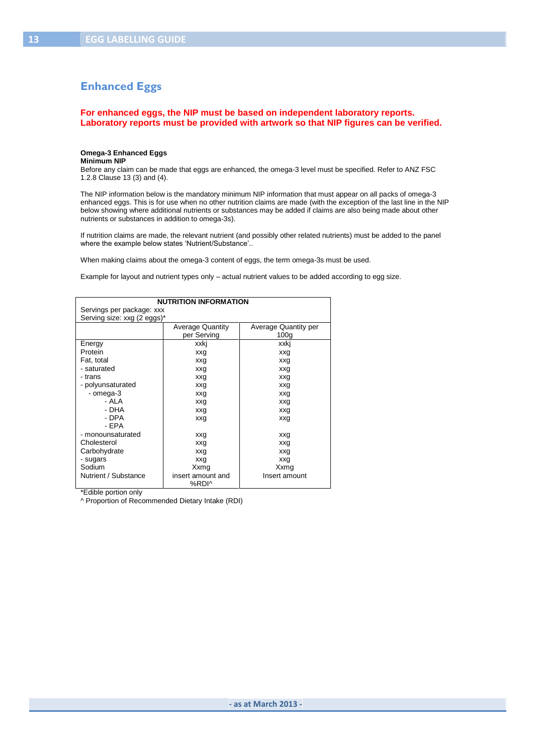## **Enhanced Eggs**

**For enhanced eggs, the NIP must be based on independent laboratory reports. Laboratory reports must be provided with artwork so that NIP figures can be verified.**

#### **Omega-3 Enhanced Eggs**

#### **Minimum NIP**

Before any claim can be made that eggs are enhanced, the omega-3 level must be specified. Refer to ANZ FSC 1.2.8 Clause 13 (3) and (4).

The NIP information below is the mandatory minimum NIP information that must appear on all packs of omega-3 enhanced eggs. This is for use when no other nutrition claims are made (with the exception of the last line in the NIP below showing where additional nutrients or substances may be added if claims are also being made about other nutrients or substances in addition to omega-3s).

If nutrition claims are made, the relevant nutrient (and possibly other related nutrients) must be added to the panel where the example below states 'Nutrient/Substance'..

When making claims about the omega-3 content of eggs, the term omega-3s must be used.

Example for layout and nutrient types only – actual nutrient values to be added according to egg size.

| <b>NUTRITION INFORMATION</b> |                         |                      |  |  |
|------------------------------|-------------------------|----------------------|--|--|
| Servings per package: xxx    |                         |                      |  |  |
| Serving size: xxg (2 eggs)*  |                         |                      |  |  |
|                              | <b>Average Quantity</b> | Average Quantity per |  |  |
|                              | per Serving             | 100 <sub>q</sub>     |  |  |
| Energy                       | xxki                    | xxki                 |  |  |
| Protein                      | xxg                     | xxg                  |  |  |
| Fat, total                   | xxg                     | xxg                  |  |  |
| - saturated                  | xxg                     | xxg                  |  |  |
| - trans                      | xxg                     | xxg                  |  |  |
| - polyunsaturated            | xxg                     | xxg                  |  |  |
| - omega-3                    | xxg                     | xxg                  |  |  |
| - ALA                        | xxg                     | xxg                  |  |  |
| - DHA                        | xxg                     | xxg                  |  |  |
| - DPA                        | xxg                     | xxg                  |  |  |
| - FPA                        |                         |                      |  |  |
| - monounsaturated            | xxg                     | xxg                  |  |  |
| Cholesterol                  | xxg                     | xxg                  |  |  |
| Carbohydrate                 | xxg                     | xxg                  |  |  |
| - sugars                     | xxg                     | xxg                  |  |  |
| Sodium                       | Xxmg                    | Xxmg                 |  |  |
| Nutrient / Substance         | insert amount and       | Insert amount        |  |  |
|                              | %RDI^                   |                      |  |  |

\*Edible portion only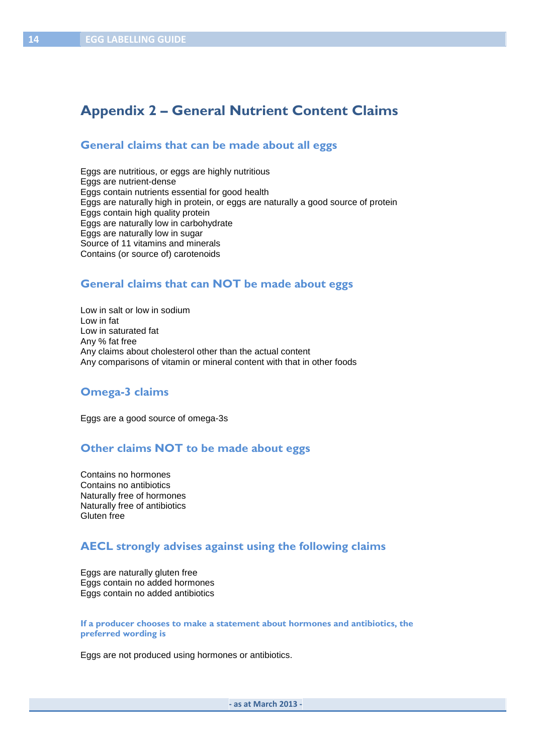# **Appendix 2 – General Nutrient Content Claims**

#### **General claims that can be made about all eggs**

Eggs are nutritious, or eggs are highly nutritious Eggs are nutrient-dense Eggs contain nutrients essential for good health Eggs are naturally high in protein, or eggs are naturally a good source of protein Eggs contain high quality protein Eggs are naturally low in carbohydrate Eggs are naturally low in sugar Source of 11 vitamins and minerals Contains (or source of) carotenoids

#### **General claims that can NOT be made about eggs**

Low in salt or low in sodium Low in fat Low in saturated fat Any % fat free Any claims about cholesterol other than the actual content Any comparisons of vitamin or mineral content with that in other foods

#### **Omega-3 claims**

Eggs are a good source of omega-3s

## **Other claims NOT to be made about eggs**

Contains no hormones Contains no antibiotics Naturally free of hormones Naturally free of antibiotics Gluten free

## **AECL strongly advises against using the following claims**

Eggs are naturally gluten free Eggs contain no added hormones Eggs contain no added antibiotics

**If a producer chooses to make a statement about hormones and antibiotics, the preferred wording is**

Eggs are not produced using hormones or antibiotics.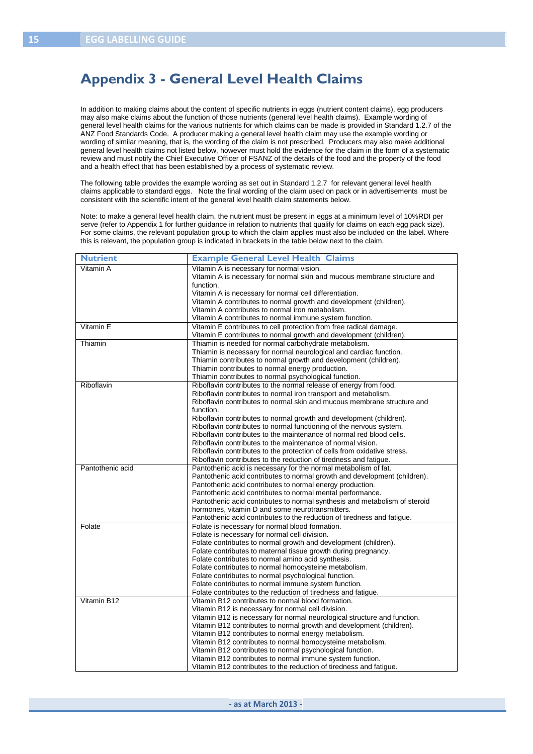# **Appendix 3 - General Level Health Claims**

In addition to making claims about the content of specific nutrients in eggs (nutrient content claims), egg producers may also make claims about the function of those nutrients (general level health claims). Example wording of general level health claims for the various nutrients for which claims can be made is provided in Standard 1.2.7 of the ANZ Food Standards Code. A producer making a general level health claim may use the example wording or wording of similar meaning, that is, the wording of the claim is not prescribed. Producers may also make additional general level health claims not listed below, however must hold the evidence for the claim in the form of a systematic review and must notify the Chief Executive Officer of FSANZ of the details of the food and the property of the food and a health effect that has been established by a process of systematic review.

The following table provides the example wording as set out in Standard 1.2.7 for relevant general level health claims applicable to standard eggs. Note the final wording of the claim used on pack or in advertisements must be consistent with the scientific intent of the general level health claim statements below.

Note: to make a general level health claim, the nutrient must be present in eggs at a minimum level of 10%RDI per serve (refer to Appendix 1 for further guidance in relation to nutrients that qualify for claims on each egg pack size). For some claims, the relevant population group to which the claim applies must also be included on the label. Where this is relevant, the population group is indicated in brackets in the table below next to the claim.

| <b>Nutrient</b>  | <b>Example General Level Health Claims</b>                                                                                      |
|------------------|---------------------------------------------------------------------------------------------------------------------------------|
| Vitamin A        | Vitamin A is necessary for normal vision.                                                                                       |
|                  | Vitamin A is necessary for normal skin and mucous membrane structure and                                                        |
|                  | function.                                                                                                                       |
|                  | Vitamin A is necessary for normal cell differentiation.                                                                         |
|                  | Vitamin A contributes to normal growth and development (children).                                                              |
|                  | Vitamin A contributes to normal iron metabolism.                                                                                |
|                  | Vitamin A contributes to normal immune system function.                                                                         |
| Vitamin E        | Vitamin E contributes to cell protection from free radical damage.                                                              |
|                  | Vitamin E contributes to normal growth and development (children).                                                              |
| Thiamin          | Thiamin is needed for normal carbohydrate metabolism.                                                                           |
|                  | Thiamin is necessary for normal neurological and cardiac function.                                                              |
|                  | Thiamin contributes to normal growth and development (children).                                                                |
|                  | Thiamin contributes to normal energy production.                                                                                |
|                  | Thiamin contributes to normal psychological function.                                                                           |
| Riboflavin       | Riboflavin contributes to the normal release of energy from food.                                                               |
|                  | Riboflavin contributes to normal iron transport and metabolism.                                                                 |
|                  | Riboflavin contributes to normal skin and mucous membrane structure and                                                         |
|                  | function.                                                                                                                       |
|                  | Riboflavin contributes to normal growth and development (children).                                                             |
|                  | Riboflavin contributes to normal functioning of the nervous system.                                                             |
|                  | Riboflavin contributes to the maintenance of normal red blood cells.                                                            |
|                  | Riboflavin contributes to the maintenance of normal vision.                                                                     |
|                  | Riboflavin contributes to the protection of cells from oxidative stress.                                                        |
|                  | Riboflavin contributes to the reduction of tiredness and fatigue.                                                               |
| Pantothenic acid | Pantothenic acid is necessary for the normal metabolism of fat.                                                                 |
|                  | Pantothenic acid contributes to normal growth and development (children).                                                       |
|                  | Pantothenic acid contributes to normal energy production.                                                                       |
|                  | Pantothenic acid contributes to normal mental performance.                                                                      |
|                  | Pantothenic acid contributes to normal synthesis and metabolism of steroid                                                      |
|                  | hormones, vitamin D and some neurotransmitters.                                                                                 |
|                  | Pantothenic acid contributes to the reduction of tiredness and fatigue.                                                         |
| Folate           | Folate is necessary for normal blood formation.                                                                                 |
|                  | Folate is necessary for normal cell division.                                                                                   |
|                  | Folate contributes to normal growth and development (children).                                                                 |
|                  | Folate contributes to maternal tissue growth during pregnancy.                                                                  |
|                  | Folate contributes to normal amino acid synthesis.                                                                              |
|                  | Folate contributes to normal homocysteine metabolism.                                                                           |
|                  | Folate contributes to normal psychological function.                                                                            |
|                  | Folate contributes to normal immune system function.                                                                            |
|                  | Folate contributes to the reduction of tiredness and fatigue.                                                                   |
| Vitamin B12      | Vitamin B12 contributes to normal blood formation.                                                                              |
|                  | Vitamin B12 is necessary for normal cell division.                                                                              |
|                  | Vitamin B12 is necessary for normal neurological structure and function.                                                        |
|                  | Vitamin B12 contributes to normal growth and development (children).                                                            |
|                  |                                                                                                                                 |
|                  | Vitamin B12 contributes to normal energy metabolism.                                                                            |
|                  | Vitamin B12 contributes to normal homocysteine metabolism.                                                                      |
|                  | Vitamin B12 contributes to normal psychological function.                                                                       |
|                  | Vitamin B12 contributes to normal immune system function.<br>Vitamin B12 contributes to the reduction of tiredness and fatigue. |